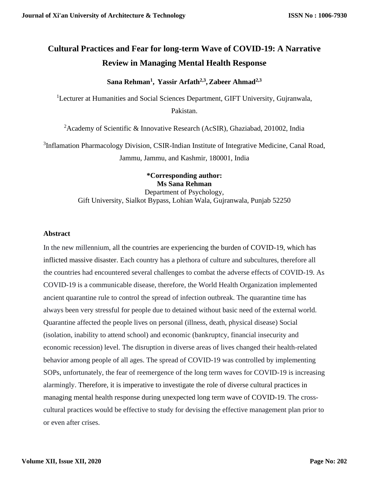# **Cultural Practices and Fear for long-term Wave of COVID-19: A Narrative Review in Managing Mental Health Response**

**Sana Rehman<sup>1</sup> , Yassir Arfath2,3 , Zabeer Ahmad2,3**

<sup>1</sup>Lecturer at Humanities and Social Sciences Department, GIFT University, Gujranwala, Pakistan.

<sup>2</sup> Academy of Scientific & Innovative Research (AcSIR), Ghaziabad, 201002, India

<sup>3</sup>Inflamation Pharmacology Division, CSIR-Indian Institute of Integrative Medicine, Canal Road, Jammu, Jammu, and Kashmir, 180001, India

> **\*Corresponding author: Ms Sana Rehman** Department of Psychology, Gift University, Sialkot Bypass, Lohian Wala, Gujranwala, Punjab 52250

## **Abstract**

In the new millennium, all the countries are experiencing the burden of COVID-19, which has inflicted massive disaster. Each country has a plethora of culture and subcultures, therefore all the countries had encountered several challenges to combat the adverse effects of COVID-19. As COVID-19 is a communicable disease, therefore, the World Health Organization implemented ancient quarantine rule to control the spread of infection outbreak. The quarantine time has always been very stressful for people due to detained without basic need of the external world. Quarantine affected the people lives on personal (illness, death, physical disease) Social (isolation, inability to attend school) and economic (bankruptcy, financial insecurity and economic recession) level. The disruption in diverse areas of lives changed their health-related behavior among people of all ages. The spread of COVID-19 was controlled by implementing SOPs, unfortunately, the fear of reemergence of the long term waves for COVID-19 is increasing alarmingly. Therefore, it is imperative to investigate the role of diverse cultural practices in managing mental health response during unexpected long term wave of COVID-19. The crosscultural practices would be effective to study for devising the effective management plan prior to or even after crises.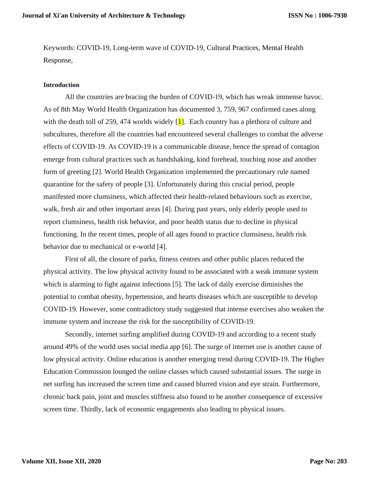Keywords: COVID-19, Long-term wave of COVID-19, Cultural Practices, Mental Health Response,

#### **Introduction**

All the countries are bracing the burden of COVID-19, which has wreak immense havoc. As of 8th May World Health Organization has documented 3, 759, 967 confirmed cases along with the death toll of 259, 474 worlds widely  $\left[\mathbf{1}\right]$ . Each country has a plethora of culture and subcultures, therefore all the countries had encountered several challenges to combat the adverse effects of COVID-19. As COVID-19 is a communicable disease, hence the spread of contagion emerge from cultural practices such as handshaking, kind forehead, touching nose and another form of greeting [2]. World Health Organization implemented the precautionary rule named quarantine for the safety of people [3]. Unfortunately during this crucial period, people manifested more clumsiness, which affected their health-related behaviours such as exercise, walk, fresh air and other important areas [4]. During past years, only elderly people used to report clumsiness, health risk behavior, and poor health status due to decline in physical functioning. In the recent times, people of all ages found to practice clumsiness, health risk behavior due to mechanical or e-world [4].

First of all, the closure of parks, fitness centres and other public places reduced the physical activity. The low physical activity found to be associated with a weak immune system which is alarming to fight against infections [5]. The lack of daily exercise diminishes the potential to combat obesity, hypertension, and hearts diseases which are susceptible to develop COVID-19. However, some contradictory study suggested that intense exercises also weaken the immune system and increase the risk for the susceptibility of COVID-19.

Secondly, internet surfing amplified during COVID-19 and according to a recent study around 49% of the world uses social media app [6]. The surge of internet use is another cause of low physical activity. Online education is another emerging trend during COVID-19. The Higher Education Commission lounged the online classes which caused substantial issues. The surge in net surfing has increased the screen time and caused blurred vision and eye strain. Furthermore, chronic back pain, joint and muscles stiffness also found to be another consequence of excessive screen time. Thirdly, lack of economic engagements also leading to physical issues.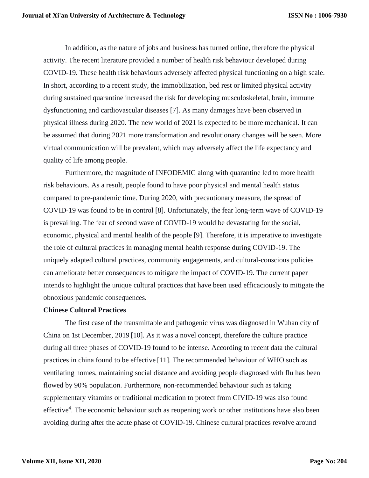In addition, as the nature of jobs and business has turned online, therefore the physical activity. The recent literature provided a number of health risk behaviour developed during COVID-19. These health risk behaviours adversely affected physical functioning on a high scale. In short, according to a recent study, the immobilization, bed rest or limited physical activity during sustained quarantine increased the risk for developing musculoskeletal, brain, immune dysfunctioning and cardiovascular diseases [7]. As many damages have been observed in physical illness during 2020. The new world of 2021 is expected to be more mechanical. It can be assumed that during 2021 more transformation and revolutionary changes will be seen. More virtual communication will be prevalent, which may adversely affect the life expectancy and quality of life among people.

Furthermore, the magnitude of INFODEMIC along with quarantine led to more health risk behaviours. As a result, people found to have poor physical and mental health status compared to pre-pandemic time. During 2020, with precautionary measure, the spread of COVID-19 was found to be in control [8]. Unfortunately, the fear long-term wave of COVID-19 is prevailing. The fear of second wave of COVID-19 would be devastating for the social, economic, physical and mental health of the people [9]. Therefore, it is imperative to investigate the role of cultural practices in managing mental health response during COVID-19. The uniquely adapted cultural practices, community engagements, and cultural-conscious policies can ameliorate better consequences to mitigate the impact of COVID-19. The current paper intends to highlight the unique cultural practices that have been used efficaciously to mitigate the obnoxious pandemic consequences.

## **Chinese Cultural Practices**

The first case of the transmittable and pathogenic virus was diagnosed in Wuhan city of China on 1st December, 2019 [10]. As it was a novel concept, therefore the culture practice during all three phases of COVID-19 found to be intense. According to recent data the cultural practices in china found to be effective [11]. The recommended behaviour of WHO such as ventilating homes, maintaining social distance and avoiding people diagnosed with flu has been flowed by 90% population. Furthermore, non-recommended behaviour such as taking supplementary vitamins or traditional medication to protect from CIVID-19 was also found effective<sup>4</sup>. The economic behaviour such as reopening work or other institutions have also been avoiding during after the acute phase of COVID-19. Chinese cultural practices revolve around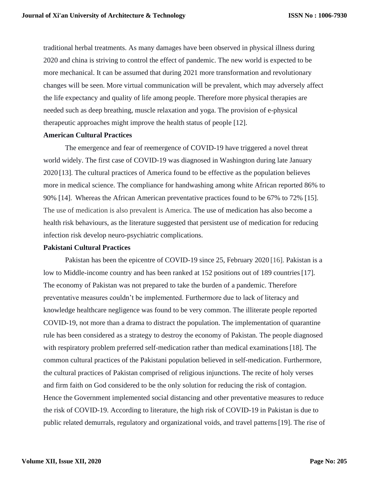traditional herbal treatments. As many damages have been observed in physical illness during 2020 and china is striving to control the effect of pandemic. The new world is expected to be more mechanical. It can be assumed that during 2021 more transformation and revolutionary changes will be seen. More virtual communication will be prevalent, which may adversely affect the life expectancy and quality of life among people. Therefore more physical therapies are needed such as deep breathing, muscle relaxation and yoga. The provision of e-physical therapeutic approaches might improve the health status of people [12].

### **American Cultural Practices**

The emergence and fear of reemergence of COVID-19 have triggered a novel threat world widely. The first case of COVID-19 was diagnosed in Washington during late January 2020 [13]. The cultural practices of America found to be effective as the population believes more in medical science. The compliance for handwashing among white African reported 86% to 90% [14]. Whereas the African American preventative practices found to be 67% to 72% [15]. The use of medication is also prevalent is America. The use of medication has also become a health risk behaviours, as the literature suggested that persistent use of medication for reducing infection risk develop neuro-psychiatric complications.

#### **Pakistani Cultural Practices**

Pakistan has been the epicentre of COVID-19 since 25, February 2020 [16]. Pakistan is a low to Middle-income country and has been ranked at 152 positions out of 189 countries [17]. The economy of Pakistan was not prepared to take the burden of a pandemic. Therefore preventative measures couldn't be implemented. Furthermore due to lack of literacy and knowledge healthcare negligence was found to be very common. The illiterate people reported COVID-19, not more than a drama to distract the population. The implementation of quarantine rule has been considered as a strategy to destroy the economy of Pakistan. The people diagnosed with respiratory problem preferred self-medication rather than medical examinations [18]. The common cultural practices of the Pakistani population believed in self-medication. Furthermore, the cultural practices of Pakistan comprised of religious injunctions. The recite of holy verses and firm faith on God considered to be the only solution for reducing the risk of contagion. Hence the Government implemented social distancing and other preventative measures to reduce the risk of COVID-19. According to literature, the high risk of COVID-19 in Pakistan is due to public related demurrals, regulatory and organizational voids, and travel patterns[19]. The rise of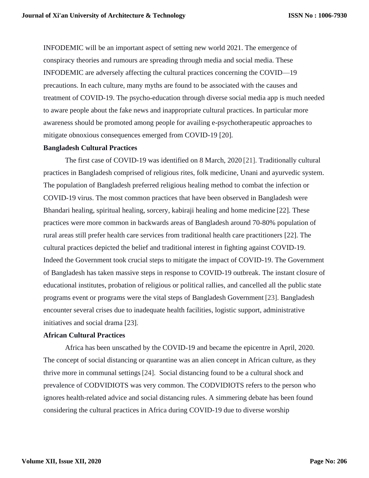INFODEMIC will be an important aspect of setting new world 2021. The emergence of conspiracy theories and rumours are spreading through media and social media. These INFODEMIC are adversely affecting the cultural practices concerning the COVID—19 precautions. In each culture, many myths are found to be associated with the causes and treatment of COVID-19. The psycho-education through diverse social media app is much needed to aware people about the fake news and inappropriate cultural practices. In particular more awareness should be promoted among people for availing e-psychotherapeutic approaches to mitigate obnoxious consequences emerged from COVID-19 [20].

#### **Bangladesh Cultural Practices**

The first case of COVID-19 was identified on 8 March, 2020 [21]. Traditionally cultural practices in Bangladesh comprised of religious rites, folk medicine, Unani and ayurvedic system. The population of Bangladesh preferred religious healing method to combat the infection or COVID-19 virus. The most common practices that have been observed in Bangladesh were Bhandari healing, spiritual healing, sorcery, kabiraji healing and home medicine [22]. These practices were more common in backwards areas of Bangladesh around 70-80% population of rural areas still prefer health care services from traditional health care practitioners [22]. The cultural practices depicted the belief and traditional interest in fighting against COVID-19. Indeed the Government took crucial steps to mitigate the impact of COVID-19. The Government of Bangladesh has taken massive steps in response to COVID-19 outbreak. The instant closure of educational institutes, probation of religious or political rallies, and cancelled all the public state programs event or programs were the vital steps of Bangladesh Government [23]. Bangladesh encounter several crises due to inadequate health facilities, logistic support, administrative initiatives and social drama [23].

# **African Cultural Practices**

Africa has been unscathed by the COVID-19 and became the epicentre in April, 2020. The concept of social distancing or quarantine was an alien concept in African culture, as they thrive more in communal settings[24]. Social distancing found to be a cultural shock and prevalence of CODVIDIOTS was very common. The CODVIDIOTS refers to the person who ignores health-related advice and social distancing rules. A simmering debate has been found considering the cultural practices in Africa during COVID-19 due to diverse worship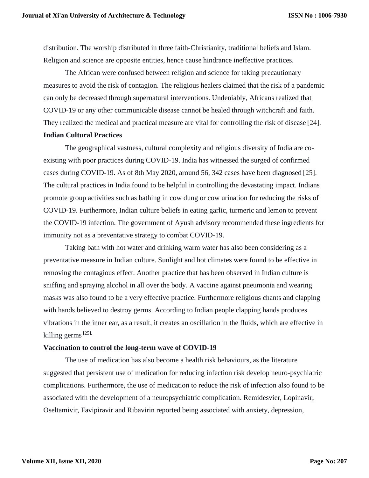distribution. The worship distributed in three faith-Christianity, traditional beliefs and Islam. Religion and science are opposite entities, hence cause hindrance ineffective practices.

The African were confused between religion and science for taking precautionary measures to avoid the risk of contagion. The religious healers claimed that the risk of a pandemic can only be decreased through supernatural interventions. Undeniably, Africans realized that COVID-19 or any other communicable disease cannot be healed through witchcraft and faith. They realized the medical and practical measure are vital for controlling the risk of disease [24]. **Indian Cultural Practices** 

The geographical vastness, cultural complexity and religious diversity of India are coexisting with poor practices during COVID-19. India has witnessed the surged of confirmed cases during COVID-19. As of 8th May 2020, around 56, 342 cases have been diagnosed [25]. The cultural practices in India found to be helpful in controlling the devastating impact. Indians promote group activities such as bathing in cow dung or cow urination for reducing the risks of COVID-19. Furthermore, Indian culture beliefs in eating garlic, turmeric and lemon to prevent the COVID-19 infection. The government of Ayush advisory recommended these ingredients for immunity not as a preventative strategy to combat COVID-19.

Taking bath with hot water and drinking warm water has also been considering as a preventative measure in Indian culture. Sunlight and hot climates were found to be effective in removing the contagious effect. Another practice that has been observed in Indian culture is sniffing and spraying alcohol in all over the body. A vaccine against pneumonia and wearing masks was also found to be a very effective practice. Furthermore religious chants and clapping with hands believed to destroy germs. According to Indian people clapping hands produces vibrations in the inner ear, as a result, it creates an oscillation in the fluids, which are effective in killing germs<sup>[25].</sup>

#### **Vaccination to control the long-term wave of COVID-19**

The use of medication has also become a health risk behaviours, as the literature suggested that persistent use of medication for reducing infection risk develop neuro-psychiatric complications. Furthermore, the use of medication to reduce the risk of infection also found to be associated with the development of a neuropsychiatric complication. Remidesvier, Lopinavir, Oseltamivir, Favipiravir and Ribavirin reported being associated with anxiety, depression,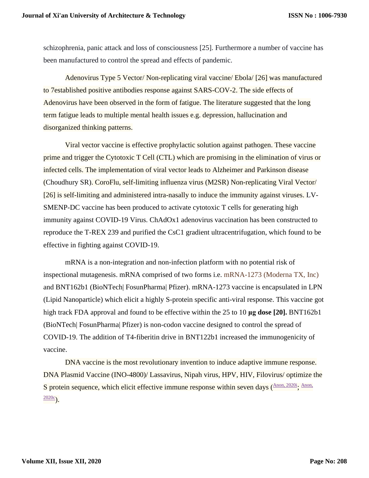schizophrenia, panic attack and loss of consciousness [25]. Furthermore a number of vaccine has been manufactured to control the spread and effects of pandemic.

Adenovirus Type 5 Vector/ Non-replicating viral vaccine/ Ebola/ [26] was manufactured to 7established positive antibodies response against SARS-COV-2. The side effects of Adenovirus have been observed in the form of fatigue. The literature suggested that the long term fatigue leads to multiple mental health issues e.g. depression, hallucination and disorganized thinking patterns.

Viral vector vaccine is effective prophylactic solution against pathogen. These vaccine prime and trigger the Cytotoxic T Cell (CTL) which are promising in the elimination of virus or infected cells. The implementation of viral vector leads to Alzheimer and Parkinson disease (Choudhury SR). CoroFlu, self-limiting influenza virus (M2SR) Non-replicating Viral Vector/ [26] is self-limiting and administered intra-nasally to induce the immunity against viruses. LV-SMENP-DC vaccine has been produced to activate cytotoxic T cells for generating high immunity against COVID-19 Virus. ChAdOx1 adenovirus vaccination has been constructed to reproduce the T-REX 239 and purified the CsC1 gradient ultracentrifugation, which found to be effective in fighting against COVID-19.

mRNA is a non-integration and non-infection platform with no potential risk of inspectional mutagenesis. mRNA comprised of two forms i.e. mRNA-1273 (Moderna TX, Inc) and BNT162b1 (BioNTech| FosunPharma| Pfizer). mRNA-1273 vaccine is encapsulated in LPN (Lipid Nanoparticle) which elicit a highly S-protein specific anti-viral response. This vaccine got high track FDA approval and found to be effective within the 25 to 10 **μg dose [20].** BNT162b1 (BioNTech| FosunPharma| Pfizer) is non-codon vaccine designed to control the spread of COVID-19. The addition of T4-fiberitin drive in BNT122b1 increased the immunogenicity of vaccine.

DNA vaccine is the most revolutionary invention to induce adaptive immune response. DNA Plasmid Vaccine (INO-4800)/ Lassavirus, Nipah virus, HPV, HIV, Filovirus/ optimize the S protein sequence, which elicit effective immune response within seven days  $($ [Anon, 2020i](https://www.ncbi.nlm.nih.gov/pmc/articles/PMC7423510/#bib0055), Anon,  $2020c$ ).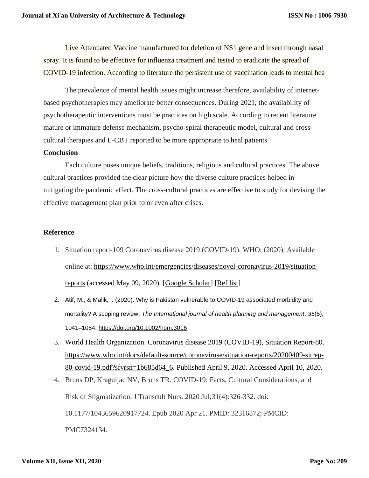Live Attenuated Vaccine manufactured for deletion of NS1 gene and insert through nasal spray. It is found to be effective for influenza treatment and tested to eradicate the spread of COVID-19 infection. According to literature the persistent use of vaccination leads to mental hea

The prevalence of mental health issues might increase therefore, availability of internetbased psychotherapies may ameliorate better consequences. During 2021, the availability of psychotherapeutic interventions must be practices on high scale. According to recent literature mature or immature defense mechanism, psycho-spiral therapeutic model, cultural and crosscultural therapies and E-CBT reported to be more appropriate to heal patients

#### **Conclusion**

Each culture poses unique beliefs, traditions, religious and cultural practices. The above cultural practices provided the clear picture how the diverse culture practices helped in mitigating the pandemic effect. The cross-cultural practices are effective to study for devising the effective management plan prior to or even after crises.

## **Reference**

- 1. Situation report-109 Coronavirus disease 2019 (COVID-19). WHO; (2020). Available online at: [https://www.who.int/emergencies/diseases/novel-coronavirus-2019/situation](https://www.who.int/emergencies/diseases/novel-coronavirus-2019/situation-reports)[reports](https://www.who.int/emergencies/diseases/novel-coronavirus-2019/situation-reports) (accessed May 09, 2020). [\[Google Scholar\]](https://scholar.google.com/scholar_lookup?title=Coronavirus+disease+2019+(COVID-19)&publication_year=2020&) [\[Ref list\]](https://www.ncbi.nlm.nih.gov/pmc/articles/PMC7256162/#B1)
- 2. Atif, M., & Malik, I. (2020). Why is Pakistan vulnerable to COVID-19 associated morbidity and mortality? A scoping review. *The International journal of health planning and management*, *35*(5), 1041–1054.<https://doi.org/10.1002/hpm.3016>
- 3. World Health Organization. Coronavirus disease 2019 (COVID-19), Situation Report-80. [https://www.who.int/docs/default-source/coronaviruse/situation-reports/20200409-sitrep-](https://www.who.int/docs/default-source/coronaviruse/situation-reports/20200409-sitrep-80-covid-19.pdf?sfvrsn=1b685d64_6)[80-covid-19.pdf?sfvrsn=1b685d64\\_6.](https://www.who.int/docs/default-source/coronaviruse/situation-reports/20200409-sitrep-80-covid-19.pdf?sfvrsn=1b685d64_6) Published April 9, 2020. Accessed April 10, 2020.
- 4. Bruns DP, Kraguljac NV, Bruns TR. COVID-19: Facts, Cultural Considerations, and Risk of Stigmatization. J Transcult Nurs. 2020 Jul;31(4):326-332. doi: 10.1177/1043659620917724. Epub 2020 Apr 21. PMID: 32316872; PMCID: PMC7324134.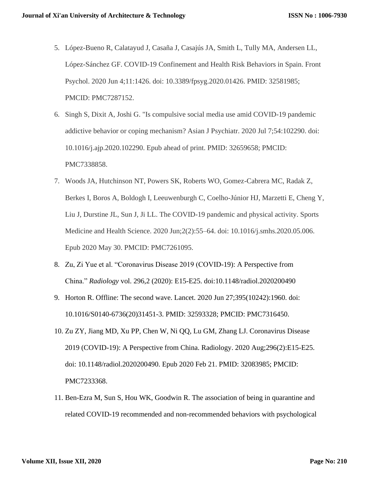- 5. López-Bueno R, Calatayud J, Casaña J, Casajús JA, Smith L, Tully MA, Andersen LL, López-Sánchez GF. COVID-19 Confinement and Health Risk Behaviors in Spain. Front Psychol. 2020 Jun 4;11:1426. doi: 10.3389/fpsyg.2020.01426. PMID: 32581985; PMCID: PMC7287152.
- 6. Singh S, Dixit A, Joshi G. "Is compulsive social media use amid COVID-19 pandemic addictive behavior or coping mechanism? Asian J Psychiatr. 2020 Jul 7;54:102290. doi: 10.1016/j.ajp.2020.102290. Epub ahead of print. PMID: 32659658; PMCID: PMC7338858.
- 7. Woods JA, Hutchinson NT, Powers SK, Roberts WO, Gomez-Cabrera MC, Radak Z, Berkes I, Boros A, Boldogh I, Leeuwenburgh C, Coelho-Júnior HJ, Marzetti E, Cheng Y, Liu J, Durstine JL, Sun J, Ji LL. The COVID-19 pandemic and physical activity. Sports Medicine and Health Science. 2020 Jun;2(2):55–64. doi: 10.1016/j.smhs.2020.05.006. Epub 2020 May 30. PMCID: PMC7261095.
- 8. Zu, Zi Yue et al. "Coronavirus Disease 2019 (COVID-19): A Perspective from China." *Radiology* vol. 296,2 (2020): E15-E25. doi:10.1148/radiol.2020200490
- 9. Horton R. Offline: The second wave. Lancet. 2020 Jun 27;395(10242):1960. doi: 10.1016/S0140-6736(20)31451-3. PMID: 32593328; PMCID: PMC7316450.
- 10. Zu ZY, Jiang MD, Xu PP, Chen W, Ni QQ, Lu GM, Zhang LJ. Coronavirus Disease 2019 (COVID-19): A Perspective from China. Radiology. 2020 Aug;296(2):E15-E25. doi: 10.1148/radiol.2020200490. Epub 2020 Feb 21. PMID: 32083985; PMCID: PMC7233368.
- 11. Ben-Ezra M, Sun S, Hou WK, Goodwin R. The association of being in quarantine and related COVID-19 recommended and non-recommended behaviors with psychological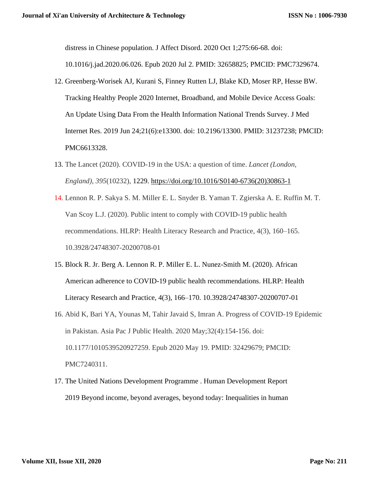distress in Chinese population. J Affect Disord. 2020 Oct 1;275:66-68. doi:

10.1016/j.jad.2020.06.026. Epub 2020 Jul 2. PMID: 32658825; PMCID: PMC7329674.

- 12. Greenberg-Worisek AJ, Kurani S, Finney Rutten LJ, Blake KD, Moser RP, Hesse BW. Tracking Healthy People 2020 Internet, Broadband, and Mobile Device Access Goals: An Update Using Data From the Health Information National Trends Survey. J Med Internet Res. 2019 Jun 24;21(6):e13300. doi: 10.2196/13300. PMID: 31237238; PMCID: PMC6613328.
- 13. The Lancet (2020). COVID-19 in the USA: a question of time. *Lancet (London, England)*, *395*(10232), 1229. [https://doi.org/10.1016/S0140-6736\(20\)30863-1](https://doi.org/10.1016/S0140-6736(20)30863-1)
- 14. Lennon R. P. Sakya S. M. Miller E. L. Snyder B. Yaman T. Zgierska A. E. Ruffin M. T. Van Scoy L.J. (2020). Public intent to comply with COVID-19 public health recommendations. HLRP: Health Literacy Research and Practice, 4(3), 160–165. 10.3928/24748307-20200708-01
- 15. Block R. Jr. Berg A. Lennon R. P. Miller E. L. Nunez-Smith M. (2020). African American adherence to COVID-19 public health recommendations. HLRP: Health Literacy Research and Practice, 4(3), 166–170. 10.3928/24748307-20200707-01
- 16. Abid K, Bari YA, Younas M, Tahir Javaid S, Imran A. Progress of COVID-19 Epidemic in Pakistan. Asia Pac J Public Health. 2020 May;32(4):154-156. doi: 10.1177/1010539520927259. Epub 2020 May 19. PMID: 32429679; PMCID: PMC7240311.
- 17. The United Nations Development Programme . Human Development Report 2019 Beyond income, beyond averages, beyond today: Inequalities in human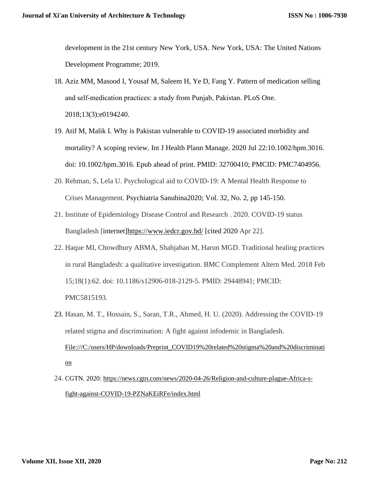development in the 21st century New York, USA. New York, USA: The United Nations Development Programme; 2019.

- 18. Aziz MM, Masood I, Yousaf M, Saleem H, Ye D, Fang Y. Pattern of medication selling and self‐medication practices: a study from Punjab, Pakistan. PLoS One. 2018;13(3):e0194240.
- 19. Atif M, Malik I. Why is Pakistan vulnerable to COVID-19 associated morbidity and mortality? A scoping review. Int J Health Plann Manage. 2020 Jul 22:10.1002/hpm.3016. doi: 10.1002/hpm.3016. Epub ahead of print. PMID: 32700410; PMCID: PMC7404956.
- 20. Rehman, S, Lela U. Psychological aid to COVID-19: A Mental Health Response to Crises Management. Psychiatria Sanubina2020; Vol. 32, No. 2, pp 145-150.
- 21. Institute of Epidemiology Disease Control and Research . 2020. COVID-19 status Bangladesh [internet[\]https://www.iedcr.gov.bd/](https://www.iedcr.gov.bd/) [cited 2020 Apr 22].
- 22. Haque MI, Chowdhury ABMA, Shahjahan M, Harun MGD. Traditional healing practices in rural Bangladesh: a qualitative investigation. BMC Complement Altern Med. 2018 Feb 15;18(1):62. doi: 10.1186/s12906-018-2129-5. PMID: 29448941; PMCID: PMC5815193.
- 23. Hasan, M. T., Hossain, S., Saran, T.R., Ahmed, H. U. (2020). Addressing the COVID-19 related stigma and discrimination: A fight against infodemic in Bangladesh. [File:///C:/users/HP/downloads/Preprint\\_COVID19%20related%20stigma%20and%20discriminati](file:///C:/users/HP/downloads/Preprint_COVID19%20related%20stigma%20and%20discrimination) [on](file:///C:/users/HP/downloads/Preprint_COVID19%20related%20stigma%20and%20discrimination)
- 24. CGTN. 2020: [https://news.cgtn.com/news/2020-04-26/Religion-and-culture-plague-Africa-s](https://news.cgtn.com/news/2020-04-26/Religion-and-culture-plague-Africa-s-fight-against-COVID-19-PZNaKEiRFe/index.html)[fight-against-COVID-19-PZNaKEiRFe/index.html](https://news.cgtn.com/news/2020-04-26/Religion-and-culture-plague-Africa-s-fight-against-COVID-19-PZNaKEiRFe/index.html)